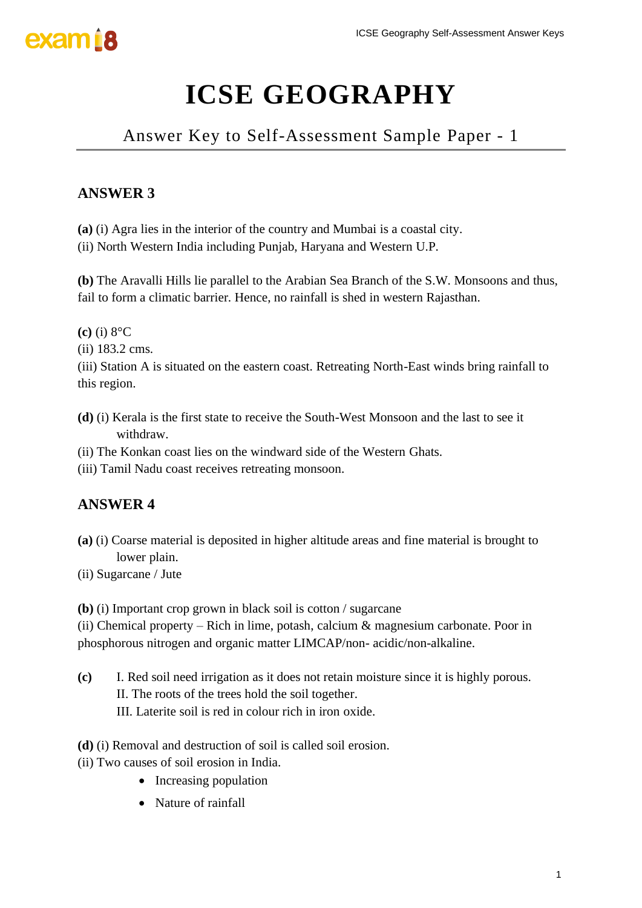

Answer Key to Self-Assessment Sample Paper - 1

## **ANSWER 3**

**(a)** (i) Agra lies in the interior of the country and Mumbai is a coastal city.

(ii) North Western India including Punjab, Haryana and Western U.P.

**(b)** The Aravalli Hills lie parallel to the Arabian Sea Branch of the S.W. Monsoons and thus, fail to form a climatic barrier. Hence, no rainfall is shed in western Rajasthan.

**(c)** (i) 8°C

(ii) 183.2 cms.

(iii) Station A is situated on the eastern coast. Retreating North-East winds bring rainfall to this region.

- **(d)** (i) Kerala is the first state to receive the South-West Monsoon and the last to see it withdraw.
- (ii) The Konkan coast lies on the windward side of the Western Ghats.
- (iii) Tamil Nadu coast receives retreating monsoon.

### **ANSWER 4**

- **(a)** (i) Coarse material is deposited in higher altitude areas and fine material is brought to lower plain.
- (ii) Sugarcane / Jute

**(b)** (i) Important crop grown in black soil is cotton / sugarcane

(ii) Chemical property – Rich in lime, potash, calcium  $\&$  magnesium carbonate. Poor in phosphorous nitrogen and organic matter LIMCAP/non- acidic/non-alkaline.

- **(c)** I. Red soil need irrigation as it does not retain moisture since it is highly porous. II. The roots of the trees hold the soil together. III. Laterite soil is red in colour rich in iron oxide. ICSE Geography Self-Assessment Answer Keys<br> **RAPHY**<br>
ent Sample Paper - 1<br>
whai is a coastal city.<br>
and Western U.P.<br>
Branch of the S.W. Monsoons and thus,<br>
ed in western Rajasthan.<br>
ing North-East winds bring rainfall to<br>
- **(d)** (i) Removal and destruction of soil is called soil erosion.
- (ii) Two causes of soil erosion in India.
	- Increasing population
	- Nature of rainfall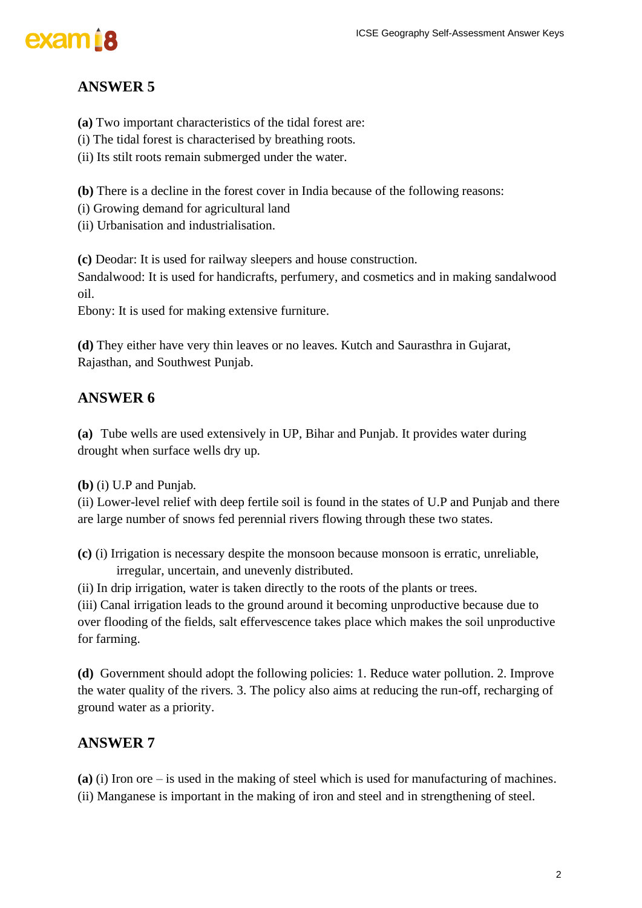## **ANSWER 5**

**(a)** Two important characteristics of the tidal forest are:

(i) The tidal forest is characterised by breathing roots.

(ii) Its stilt roots remain submerged under the water.

**(b)** There is a decline in the forest cover in India because of the following reasons:

(i) Growing demand for agricultural land

(ii) Urbanisation and industrialisation.

**(c)** Deodar: It is used for railway sleepers and house construction.

Sandalwood: It is used for handicrafts, perfumery, and cosmetics and in making sandalwood oil.

Ebony: It is used for making extensive furniture.

**(d)** They either have very thin leaves or no leaves. Kutch and Saurasthra in Gujarat, Rajasthan, and Southwest Punjab.

## **ANSWER 6**

**(a)** Tube wells are used extensively in UP, Bihar and Punjab. It provides water during drought when surface wells dry up.

**(b)** (i) U.P and Punjab.

(ii) Lower-level relief with deep fertile soil is found in the states of U.P and Punjab and there are large number of snows fed perennial rivers flowing through these two states.

**(c)** (i) Irrigation is necessary despite the monsoon because monsoon is erratic, unreliable, irregular, uncertain, and unevenly distributed.

(ii) In drip irrigation, water is taken directly to the roots of the plants or trees.

(iii) Canal irrigation leads to the ground around it becoming unproductive because due to over flooding of the fields, salt effervescence takes place which makes the soil unproductive for farming. ICSE Geography Self-Assessment Answer Keys<br>
e:<br>
e:<br>
e:<br>
use of the following reasons:<br>
construction.<br>
In making sandalwood<br>
utch and Saurasthra in Gujarat,<br>
Punjab. It provides water during<br>
punjab. It provides water durin

**(d)** Government should adopt the following policies: 1. Reduce water pollution. 2. Improve the water quality of the rivers. 3. The policy also aims at reducing the run-off, recharging of ground water as a priority.

### **ANSWER 7**

**(a)** (i) Iron ore – is used in the making of steel which is used for manufacturing of machines.

(ii) Manganese is important in the making of iron and steel and in strengthening of steel.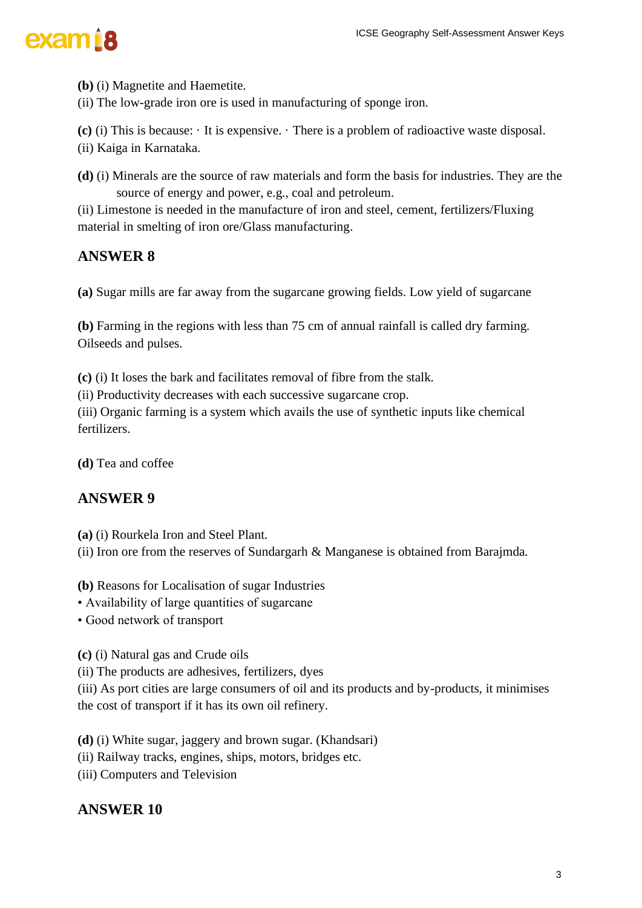**(b)** (i) Magnetite and Haemetite.

(ii) The low-grade iron ore is used in manufacturing of sponge iron.

**(c)** (i) This is because: · It is expensive. · There is a problem of radioactive waste disposal.

(ii) Kaiga in Karnataka.

**(d)** (i) Minerals are the source of raw materials and form the basis for industries. They are the source of energy and power, e.g., coal and petroleum. ICSE Geography Self-Assessment Answer Keys<br>
In Sponge iron.<br>
The basis for industries. They are the<br>
roleum.<br>
In the basis for industries. They are the<br>
Individual.<br>
In the state, central, fertilizers/Fluxing<br>
Ing fields.

(ii) Limestone is needed in the manufacture of iron and steel, cement, fertilizers/Fluxing material in smelting of iron ore/Glass manufacturing.

### **ANSWER 8**

**(a)** Sugar mills are far away from the sugarcane growing fields. Low yield of sugarcane

**(b)** Farming in the regions with less than 75 cm of annual rainfall is called dry farming. Oilseeds and pulses.

**(c)** (i) It loses the bark and facilitates removal of fibre from the stalk.

(ii) Productivity decreases with each successive sugarcane crop.

(iii) Organic farming is a system which avails the use of synthetic inputs like chemical fertilizers.

**(d)** Tea and coffee

#### **ANSWER 9**

**(a)** (i) Rourkela Iron and Steel Plant.

(ii) Iron ore from the reserves of Sundargarh & Manganese is obtained from Barajmda.

**(b)** Reasons for Localisation of sugar Industries

• Availability of large quantities of sugarcane

• Good network of transport

**(c)** (i) Natural gas and Crude oils

(ii) The products are adhesives, fertilizers, dyes

(iii) As port cities are large consumers of oil and its products and by-products, it minimises the cost of transport if it has its own oil refinery.

**(d)** (i) White sugar, jaggery and brown sugar. (Khandsari)

(ii) Railway tracks, engines, ships, motors, bridges etc.

(iii) Computers and Television

#### **ANSWER 10**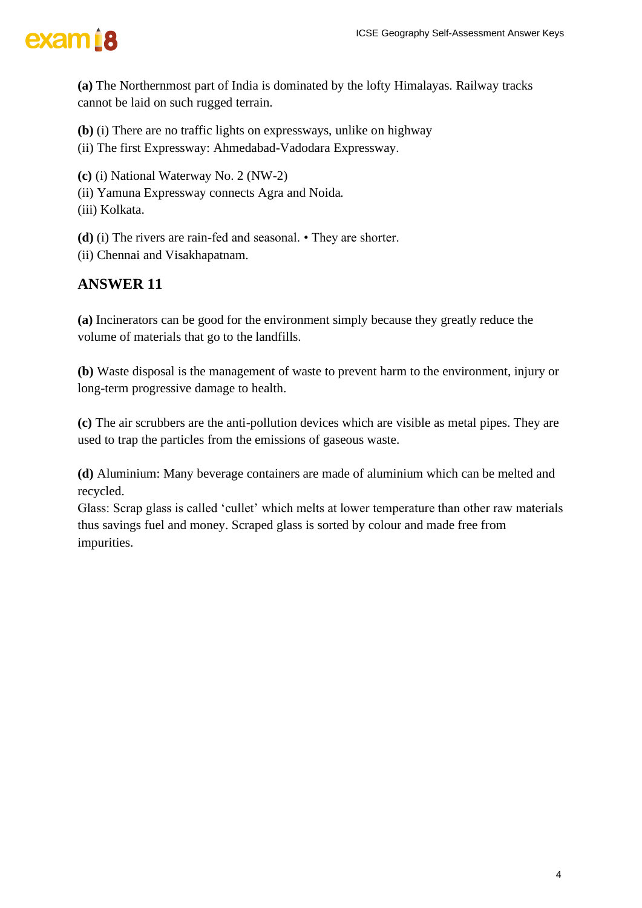

**(a)** The Northernmost part of India is dominated by the lofty Himalayas. Railway tracks cannot be laid on such rugged terrain.

**(b)** (i) There are no traffic lights on expressways, unlike on highway

(ii) The first Expressway: Ahmedabad-Vadodara Expressway.

**(c)** (i) National Waterway No. 2 (NW-2)

(ii) Yamuna Expressway connects Agra and Noida.

(iii) Kolkata.

**(d)** (i) The rivers are rain-fed and seasonal. • They are shorter.

(ii) Chennai and Visakhapatnam.

### **ANSWER 11**

**(a)** Incinerators can be good for the environment simply because they greatly reduce the volume of materials that go to the landfills.

**(b)** Waste disposal is the management of waste to prevent harm to the environment, injury or long-term progressive damage to health.

**(c)** The air scrubbers are the anti-pollution devices which are visible as metal pipes. They are used to trap the particles from the emissions of gaseous waste.

**(d)** Aluminium: Many beverage containers are made of aluminium which can be melted and recycled.

Glass: Scrap glass is called 'cullet' which melts at lower temperature than other raw materials thus savings fuel and money. Scraped glass is sorted by colour and made free from impurities. ICSE Geography Self-Assessment Answer Keys<br>In Elofty Himalayas. Railway tracks<br>Ke on highway<br>Tessway.<br>Shorter.<br>Shorter.<br>Shorter.<br>July because they greatly reduce the<br>vent harm to the environment, injury or<br>Inch are visible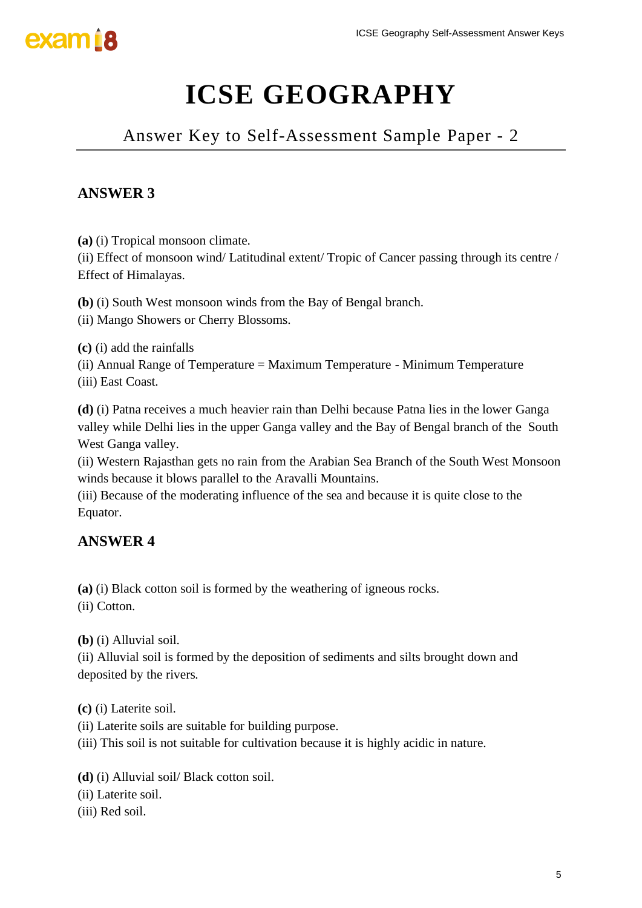

Answer Key to Self-Assessment Sample Paper - 2

## **ANSWER 3**

**(a)** (i) Tropical monsoon climate.

(ii) Effect of monsoon wind/ Latitudinal extent/ Tropic of Cancer passing through its centre / Effect of Himalayas.

**(b)** (i) South West monsoon winds from the Bay of Bengal branch.

(ii) Mango Showers or Cherry Blossoms.

**(c)** (i) add the rainfalls

(ii) Annual Range of Temperature = Maximum Temperature - Minimum Temperature (iii) East Coast.

**(d)** (i) Patna receives a much heavier rain than Delhi because Patna lies in the lower Ganga valley while Delhi lies in the upper Ganga valley and the Bay of Bengal branch of the South West Ganga valley. ICSE Geography Self-Assessment Answer Keys<br> **RAPHY**<br>
ent Sample Paper - 2<br>
c of Cancer passing through its centre /<br>
engal branch.<br>
Frature - Minimum Temperature<br>
because Patna lies in the lower Ganga<br>
the Bay of Bengal br

(ii) Western Rajasthan gets no rain from the Arabian Sea Branch of the South West Monsoon winds because it blows parallel to the Aravalli Mountains.

(iii) Because of the moderating influence of the sea and because it is quite close to the Equator.

### **ANSWER 4**

**(a)** (i) Black cotton soil is formed by the weathering of igneous rocks.

(ii) Cotton.

**(b)** (i) Alluvial soil.

(ii) Alluvial soil is formed by the deposition of sediments and silts brought down and deposited by the rivers.

**(c)** (i) Laterite soil.

(ii) Laterite soils are suitable for building purpose.

(iii) This soil is not suitable for cultivation because it is highly acidic in nature.

**(d)** (i) Alluvial soil/ Black cotton soil.

(ii) Laterite soil.

(iii) Red soil.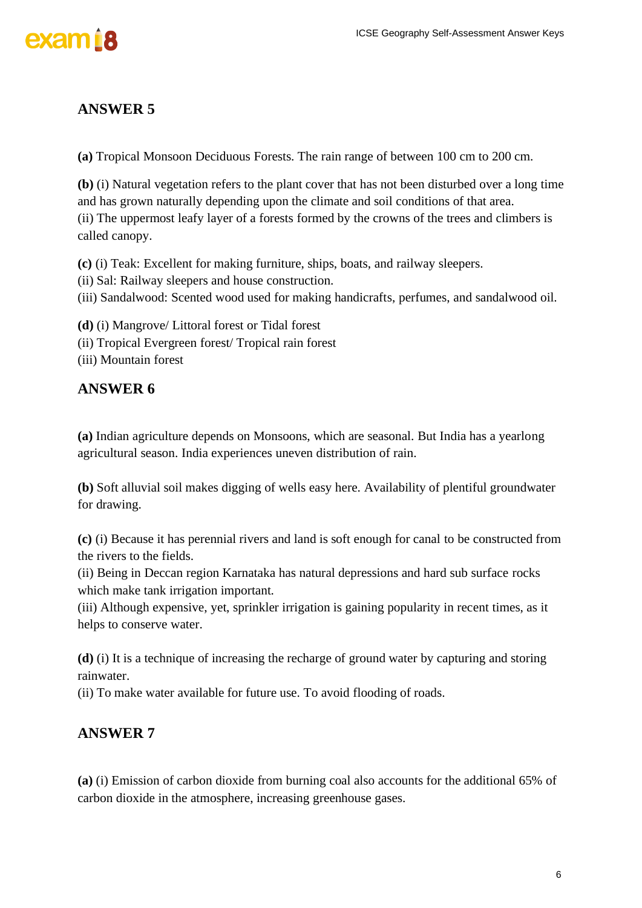

**(a)** Tropical Monsoon Deciduous Forests. The rain range of between 100 cm to 200 cm.

**(b)** (i) Natural vegetation refers to the plant cover that has not been disturbed over a long time and has grown naturally depending upon the climate and soil conditions of that area. (ii) The uppermost leafy layer of a forests formed by the crowns of the trees and climbers is called canopy. ICSE Geography Self-Assessment Answer Keys<br>Ingle of between 100 cm to 200 cm.<br>
has not been disturbed over a long time<br>
and soil conditions of that area.<br>
ats, and railway sleepers.<br>
<br>
dicrafts, perfumes, and sandalwood oi

**(c)** (i) Teak: Excellent for making furniture, ships, boats, and railway sleepers.

(ii) Sal: Railway sleepers and house construction.

(iii) Sandalwood: Scented wood used for making handicrafts, perfumes, and sandalwood oil.

**(d)** (i) Mangrove/ Littoral forest or Tidal forest (ii) Tropical Evergreen forest/ Tropical rain forest

(iii) Mountain forest

#### **ANSWER 6**

**(a)** Indian agriculture depends on Monsoons, which are seasonal. But India has a yearlong agricultural season. India experiences uneven distribution of rain.

**(b)** Soft alluvial soil makes digging of wells easy here. Availability of plentiful groundwater for drawing.

**(c)** (i) Because it has perennial rivers and land is soft enough for canal to be constructed from the rivers to the fields.

(ii) Being in Deccan region Karnataka has natural depressions and hard sub surface rocks which make tank irrigation important.

(iii) Although expensive, yet, sprinkler irrigation is gaining popularity in recent times, as it helps to conserve water.

**(d)** (i) It is a technique of increasing the recharge of ground water by capturing and storing rainwater.

(ii) To make water available for future use. To avoid flooding of roads.

#### **ANSWER 7**

**(a)** (i) Emission of carbon dioxide from burning coal also accounts for the additional 65% of carbon dioxide in the atmosphere, increasing greenhouse gases.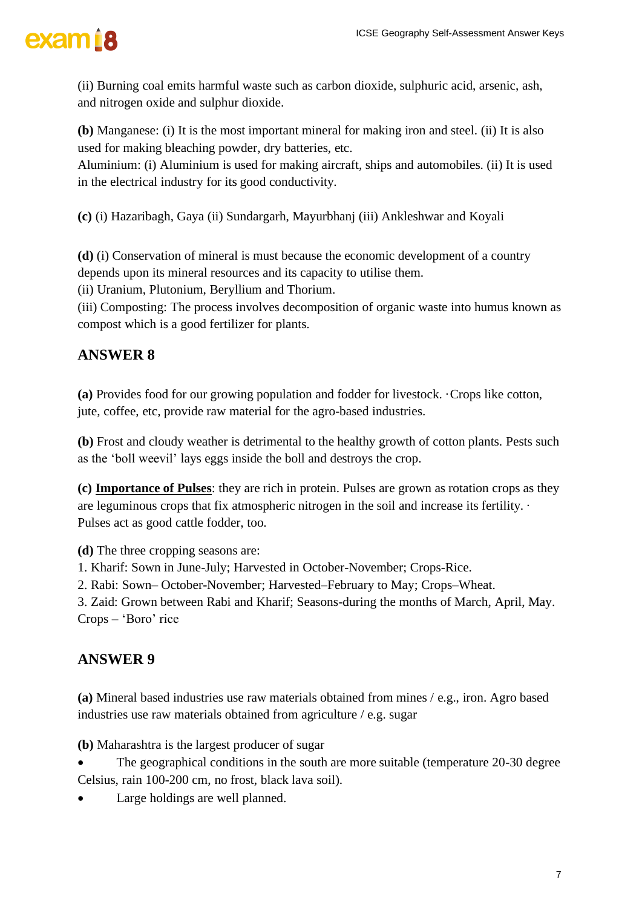(ii) Burning coal emits harmful waste such as carbon dioxide, sulphuric acid, arsenic, ash, and nitrogen oxide and sulphur dioxide.

**(b)** Manganese: (i) It is the most important mineral for making iron and steel. (ii) It is also used for making bleaching powder, dry batteries, etc.

Aluminium: (i) Aluminium is used for making aircraft, ships and automobiles. (ii) It is used in the electrical industry for its good conductivity.

**(c)** (i) Hazaribagh, Gaya (ii) Sundargarh, Mayurbhanj (iii) Ankleshwar and Koyali

**(d)** (i) Conservation of mineral is must because the economic development of a country depends upon its mineral resources and its capacity to utilise them.

(ii) Uranium, Plutonium, Beryllium and Thorium.

(iii) Composting: The process involves decomposition of organic waste into humus known as compost which is a good fertilizer for plants.

## **ANSWER 8**

**(a)** Provides food for our growing population and fodder for livestock. ·Crops like cotton, jute, coffee, etc, provide raw material for the agro-based industries.

**(b)** Frost and cloudy weather is detrimental to the healthy growth of cotton plants. Pests such as the 'boll weevil' lays eggs inside the boll and destroys the crop.

**(c) Importance of Pulses**: they are rich in protein. Pulses are grown as rotation crops as they are leguminous crops that fix atmospheric nitrogen in the soil and increase its fertility. · Pulses act as good cattle fodder, too. ICSE Geography Self-Assessment Answer Keys<br>
dioxide, sulphuric acid, arsenic, ash,<br>
11 making iron and steel. (ii) It is also<br>
11, ships and automobiles. (ii) It is used<br>
(iii) Ankleshwar and Koyali<br>
11 mommic development

**(d)** The three cropping seasons are:

1. Kharif: Sown in June-July; Harvested in October-November; Crops-Rice.

2. Rabi: Sown– October-November; Harvested–February to May; Crops–Wheat.

3. Zaid: Grown between Rabi and Kharif; Seasons-during the months of March, April, May. Crops – 'Boro' rice

## **ANSWER 9**

**(a)** Mineral based industries use raw materials obtained from mines / e.g., iron. Agro based industries use raw materials obtained from agriculture / e.g. sugar

**(b)** Maharashtra is the largest producer of sugar

- The geographical conditions in the south are more suitable (temperature 20-30 degree Celsius, rain 100-200 cm, no frost, black lava soil).
- Large holdings are well planned.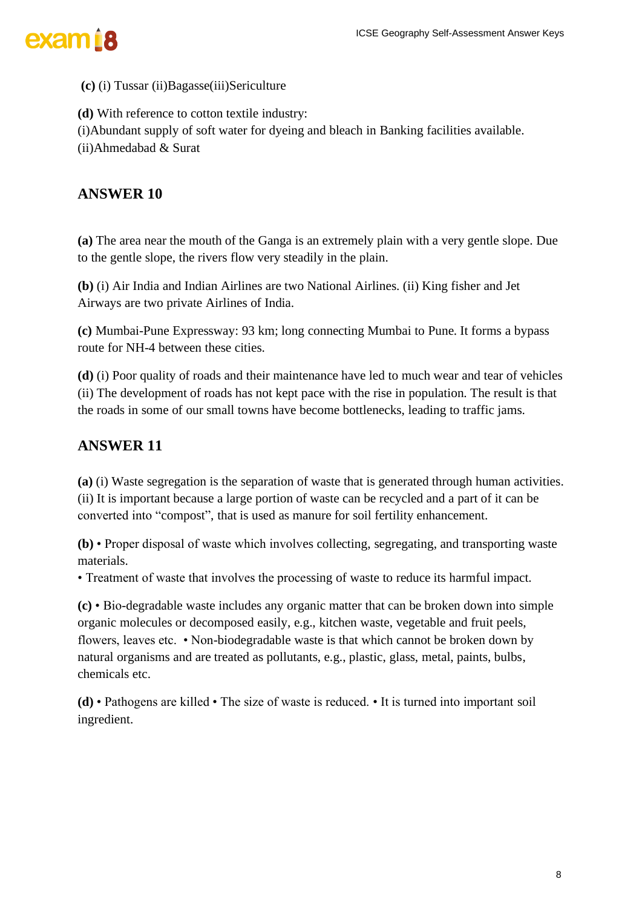

#### **(c)** (i) Tussar (ii)Bagasse(iii)Sericulture

**(d)** With reference to cotton textile industry:

(i)Abundant supply of soft water for dyeing and bleach in Banking facilities available.

(ii)Ahmedabad & Surat

#### **ANSWER 10**

**(a)** The area near the mouth of the Ganga is an extremely plain with a very gentle slope. Due to the gentle slope, the rivers flow very steadily in the plain.

**(b)** (i) Air India and Indian Airlines are two National Airlines. (ii) King fisher and Jet Airways are two private Airlines of India.

**(c)** Mumbai-Pune Expressway: 93 km; long connecting Mumbai to Pune. It forms a bypass route for NH-4 between these cities.

**(d)** (i) Poor quality of roads and their maintenance have led to much wear and tear of vehicles (ii) The development of roads has not kept pace with the rise in population. The result is that the roads in some of our small towns have become bottlenecks, leading to traffic jams.

#### **ANSWER 11**

**(a)** (i) Waste segregation is the separation of waste that is generated through human activities. (ii) It is important because a large portion of waste can be recycled and a part of it can be converted into "compost", that is used as manure for soil fertility enhancement.

**(b)** • Proper disposal of waste which involves collecting, segregating, and transporting waste materials.

• Treatment of waste that involves the processing of waste to reduce its harmful impact.

**(c)** • Bio-degradable waste includes any organic matter that can be broken down into simple organic molecules or decomposed easily, e.g., kitchen waste, vegetable and fruit peels, flowers, leaves etc. • Non-biodegradable waste is that which cannot be broken down by natural organisms and are treated as pollutants, e.g., plastic, glass, metal, paints, bulbs, chemicals etc. ICSE Geography Self-Assessment Answer Keys<br>
they plain with a very gentle slope. Due<br>
plain.<br>
Airlines. (ii) King fisher and Jet<br>
ng Mumbai to Pune. It forms a bypass<br>
we led to much wear and tear of vehicles<br>
the rise in

**(d)** • Pathogens are killed • The size of waste is reduced. • It is turned into important soil ingredient.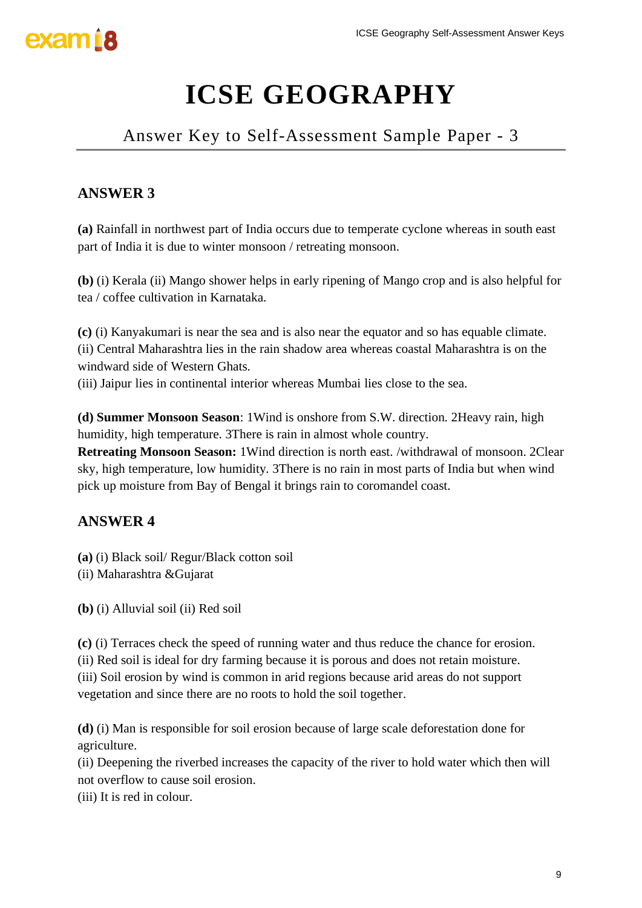

## Answer Key to Self-Assessment Sample Paper - 3

## **ANSWER 3**

**(a)** Rainfall in northwest part of India occurs due to temperate cyclone whereas in south east part of India it is due to winter monsoon / retreating monsoon.

**(b)** (i) Kerala (ii) Mango shower helps in early ripening of Mango crop and is also helpful for tea / coffee cultivation in Karnataka.

**(c)** (i) Kanyakumari is near the sea and is also near the equator and so has equable climate. (ii) Central Maharashtra lies in the rain shadow area whereas coastal Maharashtra is on the windward side of Western Ghats.

(iii) Jaipur lies in continental interior whereas Mumbai lies close to the sea.

**(d) Summer Monsoon Season**: 1Wind is onshore from S.W. direction. 2Heavy rain, high humidity, high temperature. 3There is rain in almost whole country.

**Retreating Monsoon Season:** 1Wind direction is north east. /withdrawal of monsoon. 2Clear sky, high temperature, low humidity. 3There is no rain in most parts of India but when wind pick up moisture from Bay of Bengal it brings rain to coromandel coast.

## **ANSWER 4**

- **(a)** (i) Black soil/ Regur/Black cotton soil
- (ii) Maharashtra &Gujarat
- **(b)** (i) Alluvial soil (ii) Red soil

**(c)** (i) Terraces check the speed of running water and thus reduce the chance for erosion. (ii) Red soil is ideal for dry farming because it is porous and does not retain moisture. (iii) Soil erosion by wind is common in arid regions because arid areas do not support vegetation and since there are no roots to hold the soil together. ICSE Geography Self-Assessment Answer Keys<br> **RAPHY**<br>
ent Sample Paper - 3<br>
emperate cyclone whereas in south east<br>
nonsoon.<br>
Ing of Mango crop and is also helpful for<br>
e equator and so has equable climate.<br>
whereas coastal

**(d)** (i) Man is responsible for soil erosion because of large scale deforestation done for agriculture.

(ii) Deepening the riverbed increases the capacity of the river to hold water which then will not overflow to cause soil erosion.

(iii) It is red in colour.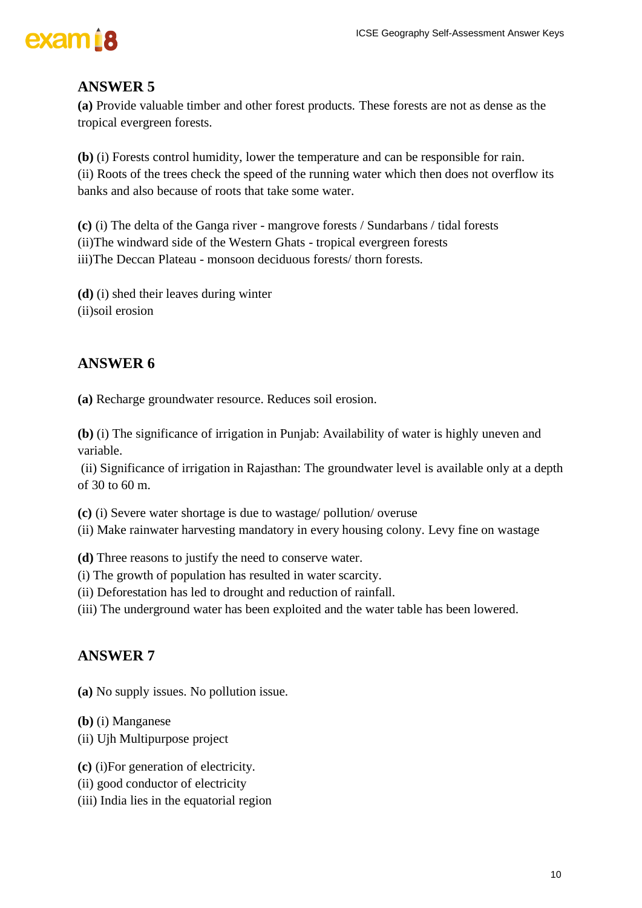

**(a)** Provide valuable timber and other forest products. These forests are not as dense as the tropical evergreen forests.

**(b)** (i) Forests control humidity, lower the temperature and can be responsible for rain. (ii) Roots of the trees check the speed of the running water which then does not overflow its banks and also because of roots that take some water.

**(c)** (i) The delta of the Ganga river - mangrove forests / Sundarbans / tidal forests (ii)The windward side of the Western Ghats - tropical evergreen forests iii)The Deccan Plateau - monsoon deciduous forests/ thorn forests.

**(d)** (i) shed their leaves during winter (ii)soil erosion

### **ANSWER 6**

**(a)** Recharge groundwater resource. Reduces soil erosion.

**(b)** (i) The significance of irrigation in Punjab: Availability of water is highly uneven and variable.

(ii) Significance of irrigation in Rajasthan: The groundwater level is available only at a depth of 30 to 60 m.

**(c)** (i) Severe water shortage is due to wastage/ pollution/ overuse

(ii) Make rainwater harvesting mandatory in every housing colony. Levy fine on wastage

**(d)** Three reasons to justify the need to conserve water.

- (i) The growth of population has resulted in water scarcity.
- (ii) Deforestation has led to drought and reduction of rainfall.
- (iii) The underground water has been exploited and the water table has been lowered.

#### **ANSWER 7**

**(a)** No supply issues. No pollution issue.

**(b)** (i) Manganese

(ii) Ujh Multipurpose project

**(c)** (i)For generation of electricity.

- (ii) good conductor of electricity
- (iii) India lies in the equatorial region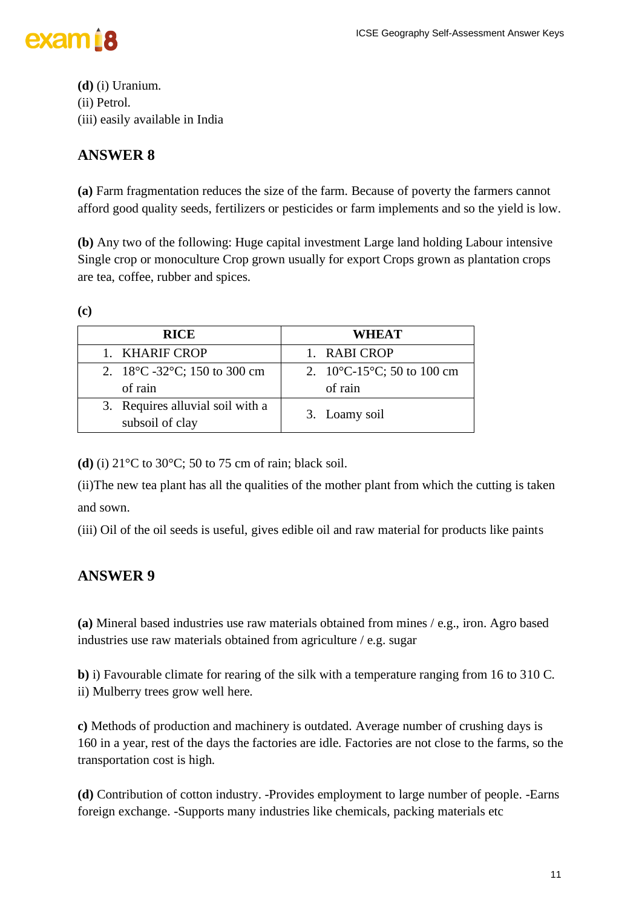

**(d)** (i) Uranium. (ii) Petrol. (iii) easily available in India

### **ANSWER 8**

**(a)** Farm fragmentation reduces the size of the farm. Because of poverty the farmers cannot afford good quality seeds, fertilizers or pesticides or farm implements and so the yield is low.

**(b)** Any two of the following: Huge capital investment Large land holding Labour intensive Single crop or monoculture Crop grown usually for export Crops grown as plantation crops are tea, coffee, rubber and spices.

**(c)**

| <b>RICE</b>                                                  | <b>WHEAT</b>                                                                  |
|--------------------------------------------------------------|-------------------------------------------------------------------------------|
| 1. KHARIF CROP                                               | 1. RABI CROP                                                                  |
| 2. $18^{\circ}$ C -32 $^{\circ}$ C; 150 to 300 cm<br>of rain | 2. $10^{\circ}$ C-15 <sup><math>\circ</math></sup> C; 50 to 100 cm<br>of rain |
| 3. Requires alluvial soil with a<br>subsoil of clay          | 3. Loamy soil                                                                 |

**(d)** (i) 21°C to 30°C; 50 to 75 cm of rain; black soil.

(ii)The new tea plant has all the qualities of the mother plant from which the cutting is taken and sown.

(iii) Oil of the oil seeds is useful, gives edible oil and raw material for products like paints

### **ANSWER 9**

**(a)** Mineral based industries use raw materials obtained from mines / e.g., iron. Agro based industries use raw materials obtained from agriculture / e.g. sugar

**b)** i) Favourable climate for rearing of the silk with a temperature ranging from 16 to 310 C. ii) Mulberry trees grow well here.

**c)** Methods of production and machinery is outdated. Average number of crushing days is 160 in a year, rest of the days the factories are idle. Factories are not close to the farms, so the transportation cost is high.

**(d)** Contribution of cotton industry. -Provides employment to large number of people. -Earns foreign exchange. -Supports many industries like chemicals, packing materials etc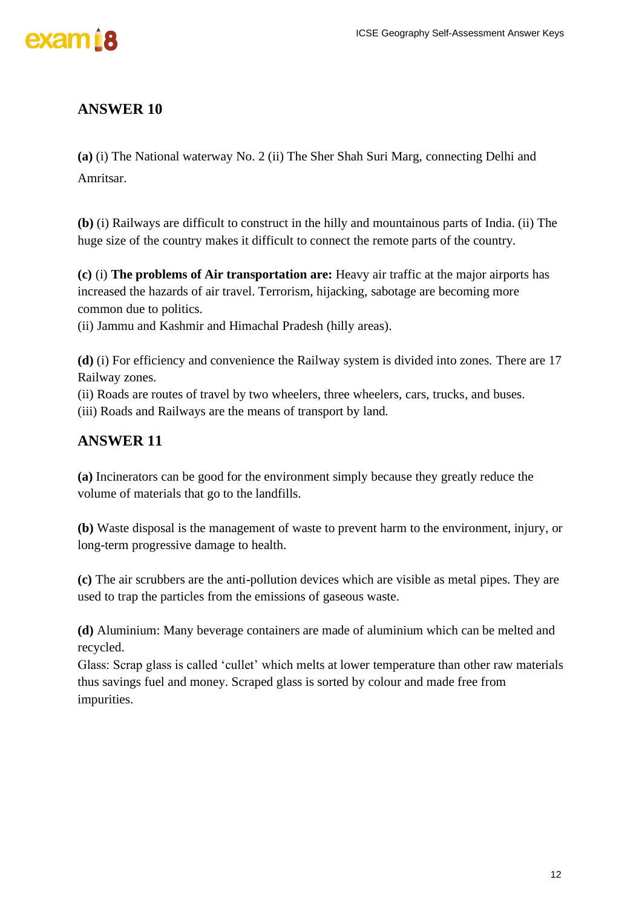



**(a)** (i) The National waterway No. 2 (ii) The Sher Shah Suri Marg, connecting Delhi and Amritsar.

**(b)** (i) Railways are difficult to construct in the hilly and mountainous parts of India. (ii) The huge size of the country makes it difficult to connect the remote parts of the country.

**(c)** (i) **The problems of Air transportation are:** Heavy air traffic at the major airports has increased the hazards of air travel. Terrorism, hijacking, sabotage are becoming more common due to politics.

(ii) Jammu and Kashmir and Himachal Pradesh (hilly areas).

**(d)** (i) For efficiency and convenience the Railway system is divided into zones. There are 17 Railway zones.

(ii) Roads are routes of travel by two wheelers, three wheelers, cars, trucks, and buses.

(iii) Roads and Railways are the means of transport by land.

## **ANSWER 11**

**(a)** Incinerators can be good for the environment simply because they greatly reduce the volume of materials that go to the landfills.

**(b)** Waste disposal is the management of waste to prevent harm to the environment, injury, or long-term progressive damage to health.

**(c)** The air scrubbers are the anti-pollution devices which are visible as metal pipes. They are used to trap the particles from the emissions of gaseous waste.

**(d)** Aluminium: Many beverage containers are made of aluminium which can be melted and recycled.

Glass: Scrap glass is called 'cullet' which melts at lower temperature than other raw materials thus savings fuel and money. Scraped glass is sorted by colour and made free from impurities.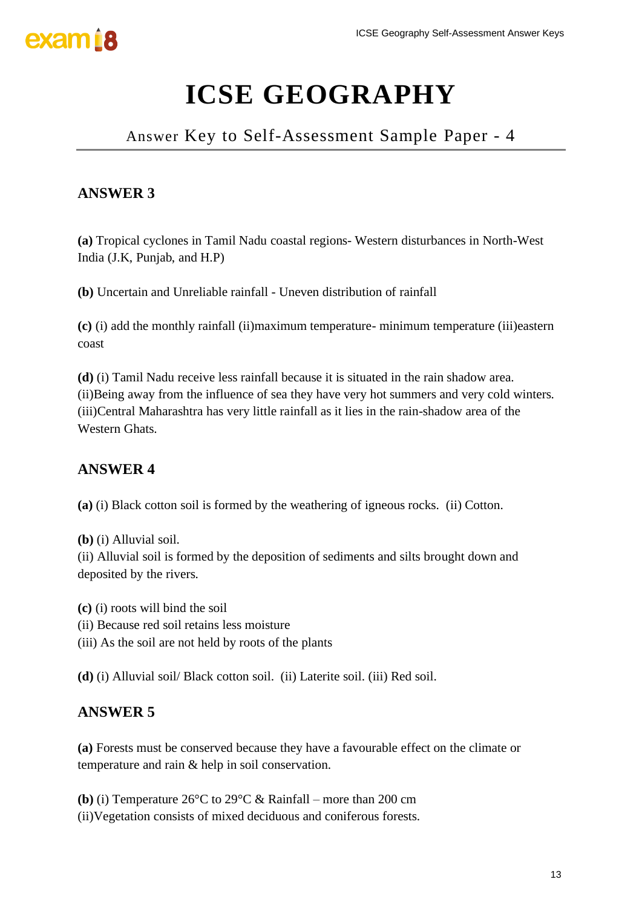

## Answer Key to Self-Assessment Sample Paper - 4

## **ANSWER 3**

**(a)** Tropical cyclones in Tamil Nadu coastal regions- Western disturbances in North-West India (J.K, Punjab, and H.P)

**(b)** Uncertain and Unreliable rainfall - Uneven distribution of rainfall

**(c)** (i) add the monthly rainfall (ii)maximum temperature- minimum temperature (iii)eastern coast

**(d)** (i) Tamil Nadu receive less rainfall because it is situated in the rain shadow area. (ii)Being away from the influence of sea they have very hot summers and very cold winters. (iii)Central Maharashtra has very little rainfall as it lies in the rain-shadow area of the Western Ghats.

#### **ANSWER 4**

**(a)** (i) Black cotton soil is formed by the weathering of igneous rocks. (ii) Cotton.

**(b)** (i) Alluvial soil.

(ii) Alluvial soil is formed by the deposition of sediments and silts brought down and deposited by the rivers.

**(c)** (i) roots will bind the soil

- (ii) Because red soil retains less moisture
- (iii) As the soil are not held by roots of the plants

**(d)** (i) Alluvial soil/ Black cotton soil. (ii) Laterite soil. (iii) Red soil.

#### **ANSWER 5**

**(a)** Forests must be conserved because they have a favourable effect on the climate or temperature and rain & help in soil conservation.

**(b)** (i) Temperature 26°C to 29°C & Rainfall – more than 200 cm (ii)Vegetation consists of mixed deciduous and coniferous forests.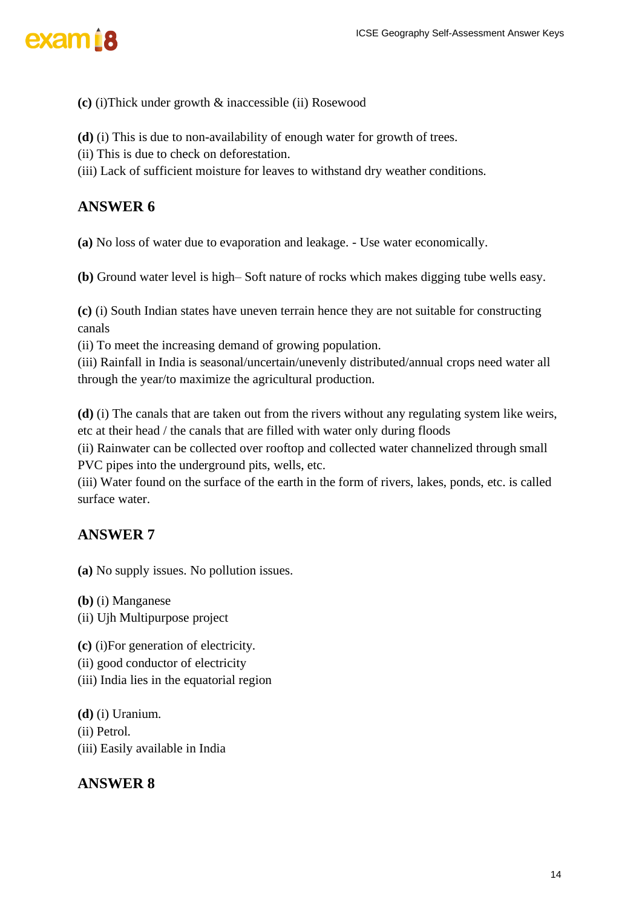

- **(c)** (i)Thick under growth & inaccessible (ii) Rosewood
- **(d)** (i) This is due to non-availability of enough water for growth of trees.
- (ii) This is due to check on deforestation.
- (iii) Lack of sufficient moisture for leaves to withstand dry weather conditions.

**(a)** No loss of water due to evaporation and leakage. - Use water economically.

**(b)** Ground water level is high– Soft nature of rocks which makes digging tube wells easy.

**(c)** (i) South Indian states have uneven terrain hence they are not suitable for constructing canals

(ii) To meet the increasing demand of growing population.

(iii) Rainfall in India is seasonal/uncertain/unevenly distributed/annual crops need water all through the year/to maximize the agricultural production.

**(d)** (i) The canals that are taken out from the rivers without any regulating system like weirs, etc at their head / the canals that are filled with water only during floods

(ii) Rainwater can be collected over rooftop and collected water channelized through small PVC pipes into the underground pits, wells, etc.

(iii) Water found on the surface of the earth in the form of rivers, lakes, ponds, etc. is called surface water.

#### **ANSWER 7**

**(a)** No supply issues. No pollution issues.

**(b)** (i) Manganese

(ii) Ujh Multipurpose project

**(c)** (i)For generation of electricity.

- (ii) good conductor of electricity
- (iii) India lies in the equatorial region

**(d)** (i) Uranium. (ii) Petrol. (iii) Easily available in India

#### **ANSWER 8**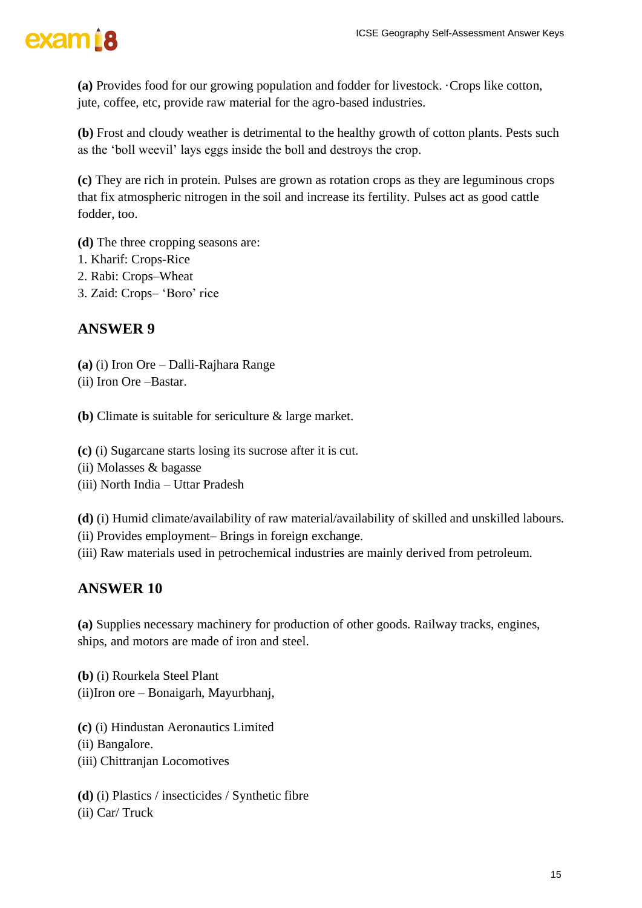

**(a)** Provides food for our growing population and fodder for livestock. ·Crops like cotton, jute, coffee, etc, provide raw material for the agro-based industries.

**(b)** Frost and cloudy weather is detrimental to the healthy growth of cotton plants. Pests such as the 'boll weevil' lays eggs inside the boll and destroys the crop.

**(c)** They are rich in protein. Pulses are grown as rotation crops as they are leguminous crops that fix atmospheric nitrogen in the soil and increase its fertility. Pulses act as good cattle fodder, too.

**(d)** The three cropping seasons are:

- 1. Kharif: Crops-Rice
- 2. Rabi: Crops–Wheat
- 3. Zaid: Crops– 'Boro' rice

#### **ANSWER 9**

- **(a)** (i) Iron Ore Dalli-Rajhara Range
- (ii) Iron Ore –Bastar.

**(b)** Climate is suitable for sericulture & large market.

- **(c)** (i) Sugarcane starts losing its sucrose after it is cut.
- (ii) Molasses & bagasse
- (iii) North India Uttar Pradesh

**(d)** (i) Humid climate/availability of raw material/availability of skilled and unskilled labours.

(ii) Provides employment– Brings in foreign exchange.

(iii) Raw materials used in petrochemical industries are mainly derived from petroleum.

#### **ANSWER 10**

**(a)** Supplies necessary machinery for production of other goods. Railway tracks, engines, ships, and motors are made of iron and steel.

**(b)** (i) Rourkela Steel Plant (ii)Iron ore – Bonaigarh, Mayurbhanj,

**(c)** (i) Hindustan Aeronautics Limited

(ii) Bangalore.

(iii) Chittranjan Locomotives

**(d)** (i) Plastics / insecticides / Synthetic fibre

(ii) Car/ Truck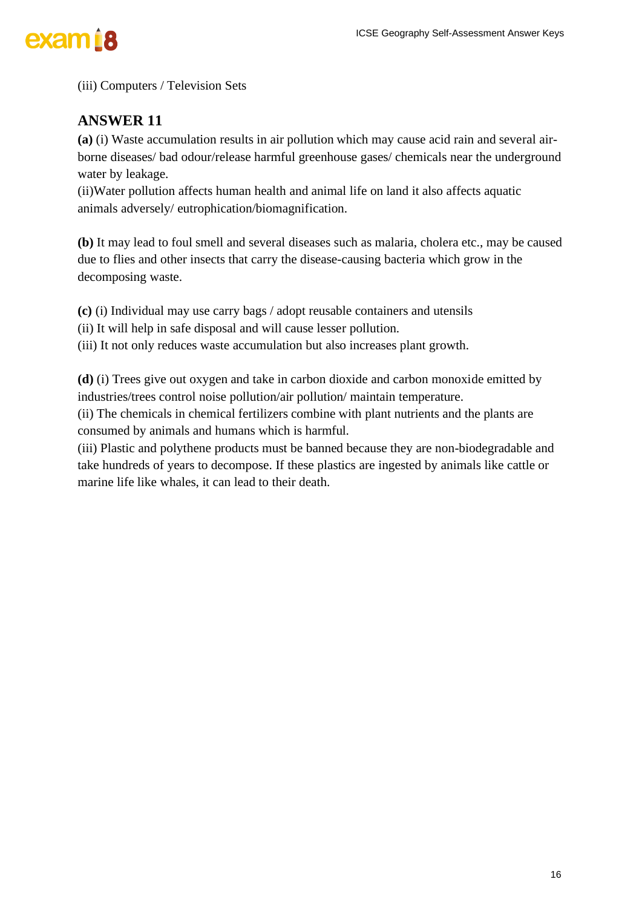(iii) Computers / Television Sets

## **ANSWER 11**

**(a)** (i) Waste accumulation results in air pollution which may cause acid rain and several airborne diseases/ bad odour/release harmful greenhouse gases/ chemicals near the underground water by leakage.

(ii)Water pollution affects human health and animal life on land it also affects aquatic animals adversely/ eutrophication/biomagnification.

**(b)** It may lead to foul smell and several diseases such as malaria, cholera etc., may be caused due to flies and other insects that carry the disease-causing bacteria which grow in the decomposing waste.

**(c)** (i) Individual may use carry bags / adopt reusable containers and utensils

(ii) It will help in safe disposal and will cause lesser pollution.

(iii) It not only reduces waste accumulation but also increases plant growth.

**(d)** (i) Trees give out oxygen and take in carbon dioxide and carbon monoxide emitted by industries/trees control noise pollution/air pollution/ maintain temperature.

(ii) The chemicals in chemical fertilizers combine with plant nutrients and the plants are consumed by animals and humans which is harmful.

(iii) Plastic and polythene products must be banned because they are non-biodegradable and take hundreds of years to decompose. If these plastics are ingested by animals like cattle or marine life like whales, it can lead to their death.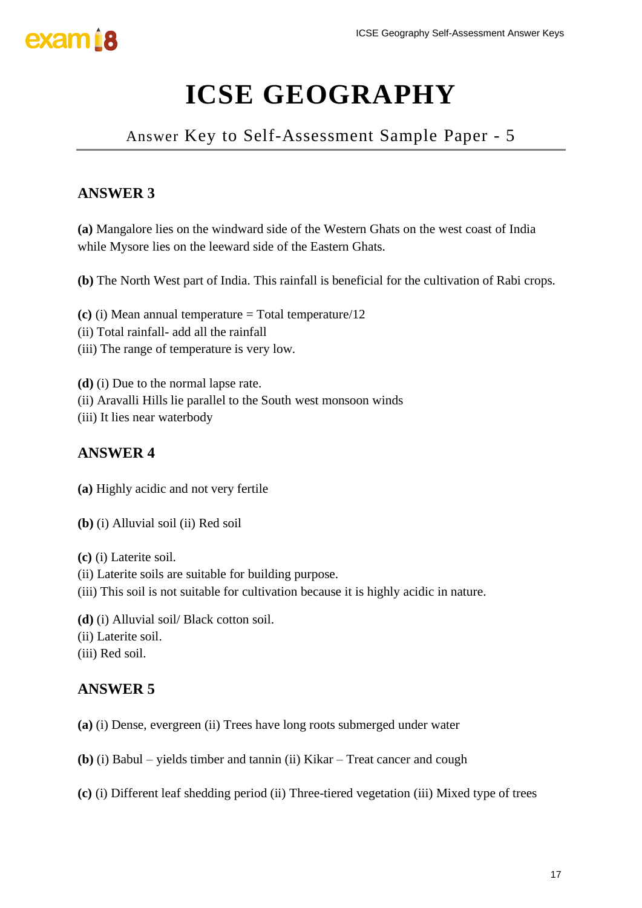

Answer Key to Self-Assessment Sample Paper - 5

## **ANSWER 3**

**(a)** Mangalore lies on the windward side of the Western Ghats on the west coast of India while Mysore lies on the leeward side of the Eastern Ghats.

**(b)** The North West part of India. This rainfall is beneficial for the cultivation of Rabi crops.

**(c)** (i) Mean annual temperature = Total temperature/12

- (ii) Total rainfall- add all the rainfall
- (iii) The range of temperature is very low.

**(d)** (i) Due to the normal lapse rate.

- (ii) Aravalli Hills lie parallel to the South west monsoon winds
- (iii) It lies near waterbody

### **ANSWER 4**

- **(a)** Highly acidic and not very fertile
- **(b)** (i) Alluvial soil (ii) Red soil
- **(c)** (i) Laterite soil.
- (ii) Laterite soils are suitable for building purpose.
- (iii) This soil is not suitable for cultivation because it is highly acidic in nature.
- **(d)** (i) Alluvial soil/ Black cotton soil.
- (ii) Laterite soil.
- (iii) Red soil.

### **ANSWER 5**

**(a)** (i) Dense, evergreen (ii) Trees have long roots submerged under water

- **(b)** (i) Babul yields timber and tannin (ii) Kikar Treat cancer and cough
- **(c)** (i) Different leaf shedding period (ii) Three-tiered vegetation (iii) Mixed type of trees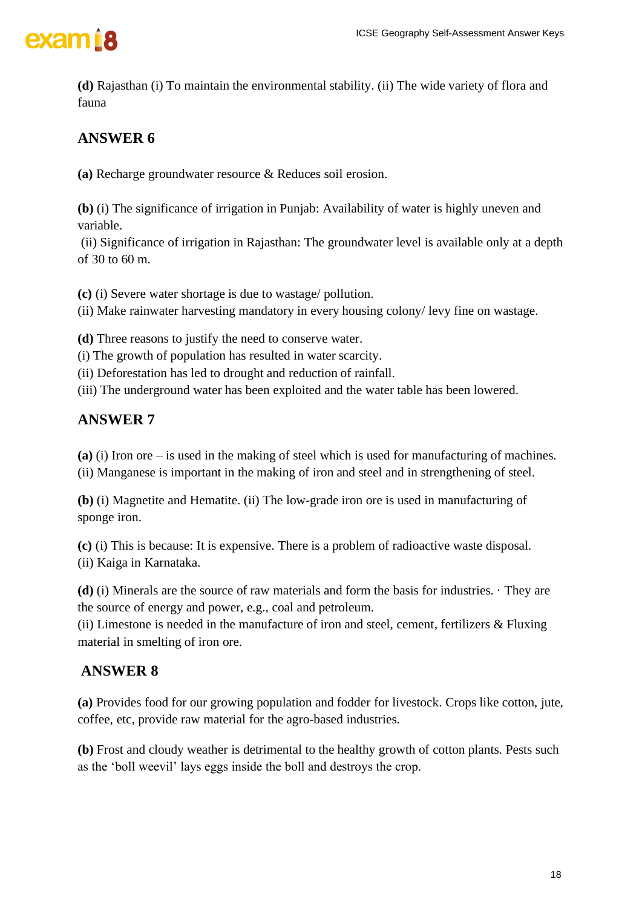

**(d)** Rajasthan (i) To maintain the environmental stability. (ii) The wide variety of flora and fauna

## **ANSWER 6**

**(a)** Recharge groundwater resource & Reduces soil erosion.

**(b)** (i) The significance of irrigation in Punjab: Availability of water is highly uneven and variable.

(ii) Significance of irrigation in Rajasthan: The groundwater level is available only at a depth of 30 to 60 m.

**(c)** (i) Severe water shortage is due to wastage/ pollution.

(ii) Make rainwater harvesting mandatory in every housing colony/ levy fine on wastage.

**(d)** Three reasons to justify the need to conserve water.

(i) The growth of population has resulted in water scarcity.

(ii) Deforestation has led to drought and reduction of rainfall.

(iii) The underground water has been exploited and the water table has been lowered.

#### **ANSWER 7**

**(a)** (i) Iron ore – is used in the making of steel which is used for manufacturing of machines.

(ii) Manganese is important in the making of iron and steel and in strengthening of steel.

**(b)** (i) Magnetite and Hematite. (ii) The low-grade iron ore is used in manufacturing of sponge iron.

**(c)** (i) This is because: It is expensive. There is a problem of radioactive waste disposal. (ii) Kaiga in Karnataka.

**(d)** (i) Minerals are the source of raw materials and form the basis for industries. · They are the source of energy and power, e.g., coal and petroleum.

(ii) Limestone is needed in the manufacture of iron and steel, cement, fertilizers  $\&$  Fluxing material in smelting of iron ore.

#### **ANSWER 8**

**(a)** Provides food for our growing population and fodder for livestock. Crops like cotton, jute, coffee, etc, provide raw material for the agro-based industries.

**(b)** Frost and cloudy weather is detrimental to the healthy growth of cotton plants. Pests such as the 'boll weevil' lays eggs inside the boll and destroys the crop.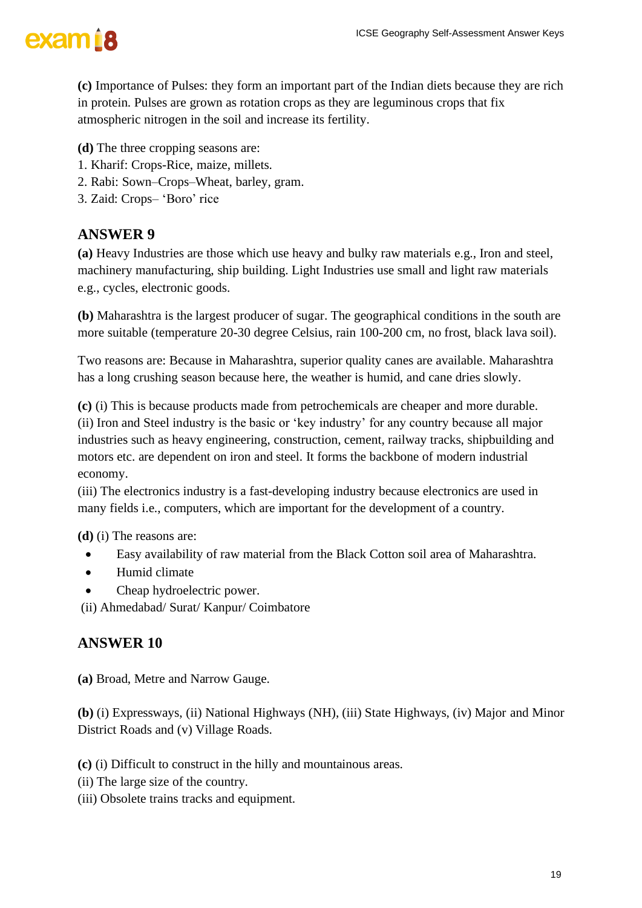

**(c)** Importance of Pulses: they form an important part of the Indian diets because they are rich in protein. Pulses are grown as rotation crops as they are leguminous crops that fix atmospheric nitrogen in the soil and increase its fertility.

- **(d)** The three cropping seasons are:
- 1. Kharif: Crops-Rice, maize, millets.
- 2. Rabi: Sown–Crops–Wheat, barley, gram.
- 3. Zaid: Crops– 'Boro' rice

#### **ANSWER 9**

**(a)** Heavy Industries are those which use heavy and bulky raw materials e.g., Iron and steel, machinery manufacturing, ship building. Light Industries use small and light raw materials e.g., cycles, electronic goods.

**(b)** Maharashtra is the largest producer of sugar. The geographical conditions in the south are more suitable (temperature 20-30 degree Celsius, rain 100-200 cm, no frost, black lava soil).

Two reasons are: Because in Maharashtra, superior quality canes are available. Maharashtra has a long crushing season because here, the weather is humid, and cane dries slowly.

**(c)** (i) This is because products made from petrochemicals are cheaper and more durable. (ii) Iron and Steel industry is the basic or 'key industry' for any country because all major industries such as heavy engineering, construction, cement, railway tracks, shipbuilding and motors etc. are dependent on iron and steel. It forms the backbone of modern industrial economy.

(iii) The electronics industry is a fast-developing industry because electronics are used in many fields i.e., computers, which are important for the development of a country.

**(d)** (i) The reasons are:

- Easy availability of raw material from the Black Cotton soil area of Maharashtra.
- Humid climate
- Cheap hydroelectric power.

(ii) Ahmedabad/ Surat/ Kanpur/ Coimbatore

#### **ANSWER 10**

**(a)** Broad, Metre and Narrow Gauge.

**(b)** (i) Expressways, (ii) National Highways (NH), (iii) State Highways, (iv) Major and Minor District Roads and (v) Village Roads.

**(c)** (i) Difficult to construct in the hilly and mountainous areas.

- (ii) The large size of the country.
- (iii) Obsolete trains tracks and equipment.